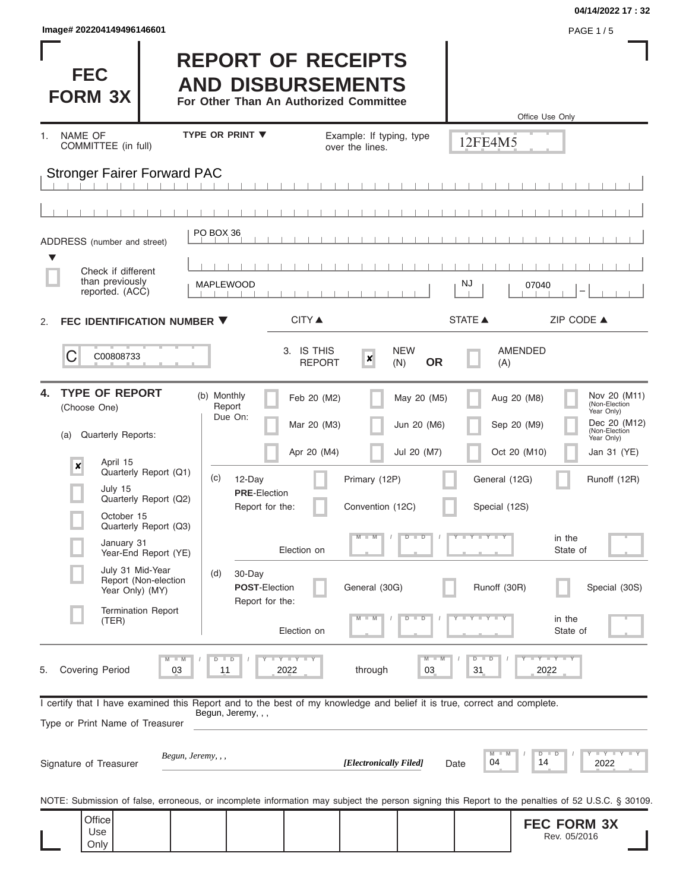| Image# 202204149496146601 | <b>PAGE 1/5</b> |
|---------------------------|-----------------|
|---------------------------|-----------------|

**FEC FORM 3X**

#### **04/14/2022 17 : 32**

# **REPORT OF RECEIPTS AND DISBURSEMENTS**

**For Other Than An Authorized Committee**

|                                                                                                                                                                                                                                                                                                                                                                  |                                                                                                                                                         |                                                                                      |                                                                                                                |                                                             | Office Use Only                                                                                                                                                                                                          |
|------------------------------------------------------------------------------------------------------------------------------------------------------------------------------------------------------------------------------------------------------------------------------------------------------------------------------------------------------------------|---------------------------------------------------------------------------------------------------------------------------------------------------------|--------------------------------------------------------------------------------------|----------------------------------------------------------------------------------------------------------------|-------------------------------------------------------------|--------------------------------------------------------------------------------------------------------------------------------------------------------------------------------------------------------------------------|
| NAME OF<br>1.<br>COMMITTEE (in full)                                                                                                                                                                                                                                                                                                                             | <b>TYPE OR PRINT ▼</b>                                                                                                                                  | over the lines.                                                                      | Example: If typing, type                                                                                       | 12FE4M5                                                     |                                                                                                                                                                                                                          |
| <b>Stronger Fairer Forward PAC</b>                                                                                                                                                                                                                                                                                                                               |                                                                                                                                                         |                                                                                      |                                                                                                                |                                                             |                                                                                                                                                                                                                          |
|                                                                                                                                                                                                                                                                                                                                                                  |                                                                                                                                                         |                                                                                      |                                                                                                                |                                                             |                                                                                                                                                                                                                          |
| ADDRESS (number and street)                                                                                                                                                                                                                                                                                                                                      | PO BOX 36                                                                                                                                               |                                                                                      |                                                                                                                |                                                             |                                                                                                                                                                                                                          |
| Check if different<br>than previously<br>reported. (ACC)                                                                                                                                                                                                                                                                                                         | MAPLEWOOD                                                                                                                                               |                                                                                      |                                                                                                                | NJ                                                          | 07040                                                                                                                                                                                                                    |
| FEC IDENTIFICATION NUMBER ▼<br>2.                                                                                                                                                                                                                                                                                                                                |                                                                                                                                                         | <b>CITY</b> ▲                                                                        |                                                                                                                | <b>STATE ▲</b>                                              | ZIP CODE ▲                                                                                                                                                                                                               |
| С<br>C00808733                                                                                                                                                                                                                                                                                                                                                   |                                                                                                                                                         | 3. IS THIS<br>×<br><b>REPORT</b>                                                     | <b>NEW</b><br><b>OR</b><br>(N)                                                                                 | (A)                                                         | <b>AMENDED</b>                                                                                                                                                                                                           |
| <b>TYPE OF REPORT</b><br>4.<br>(Choose One)<br>Quarterly Reports:<br>(a)<br>April 15<br>$\boldsymbol{\mathsf{x}}$<br>Quarterly Report (Q1)<br>July 15<br>Quarterly Report (Q2)<br>October 15<br>Quarterly Report (Q3)<br>January 31<br>Year-End Report (YE)<br>July 31 Mid-Year<br>Report (Non-election<br>Year Only) (MY)<br><b>Termination Report</b><br>(TER) | (b) Monthly<br>Report<br>Due On:<br>(c)<br>12-Day<br><b>PRE-Election</b><br>Report for the:<br>30-Day<br>(d)<br><b>POST-Election</b><br>Report for the: | Feb 20 (M2)<br>Mar 20 (M3)<br>Apr 20 (M4)<br>Primary (12P)<br>$M - M$<br>Election on | May 20 (M5)<br>Jun 20 (M6)<br>Jul 20 (M7)<br>Convention (12C)<br>$\overline{\mathsf{D}}$<br>ъ<br>General (30G) | General (12G)<br>Special (12S)<br>Y L Y L Y<br>Runoff (30R) | Nov 20 (M11)<br>(Non-Election<br>Aug 20 (M8)<br>Year Only)<br>Dec 20 (M12)<br>Sep 20 (M9)<br>(Non-Election<br>Year Only)<br>Oct 20 (M10)<br>Jan 31 (YE)<br>Runoff (12R)<br>in the<br>State of<br>Special (30S)<br>in the |
| Covering Period<br>5.<br>03                                                                                                                                                                                                                                                                                                                                      | 11                                                                                                                                                      | Election on<br>Y I Y I Y<br>through<br>2022                                          | 03                                                                                                             | $\overline{D}$<br>D<br>31                                   | State of<br>$-Y - Y - Y$<br>2022                                                                                                                                                                                         |
| I certify that I have examined this Report and to the best of my knowledge and belief it is true, correct and complete.<br>Type or Print Name of Treasurer<br>Signature of Treasurer<br>NOTE: Submission of false, erroneous, or incomplete information may subject the person signing this Report to the penalties of 52 U.S.C. § 30109.<br>Office              | Begun, Jeremy, , ,<br>Begun, Jeremy, , ,                                                                                                                |                                                                                      | [Electronically Filed]                                                                                         | 04<br>Date                                                  | <b>LEYTEY L</b><br>D<br>D<br>14<br>2022                                                                                                                                                                                  |
| Use<br>Only                                                                                                                                                                                                                                                                                                                                                      |                                                                                                                                                         |                                                                                      |                                                                                                                |                                                             | <b>FEC FORM 3X</b><br>Rev. 05/2016                                                                                                                                                                                       |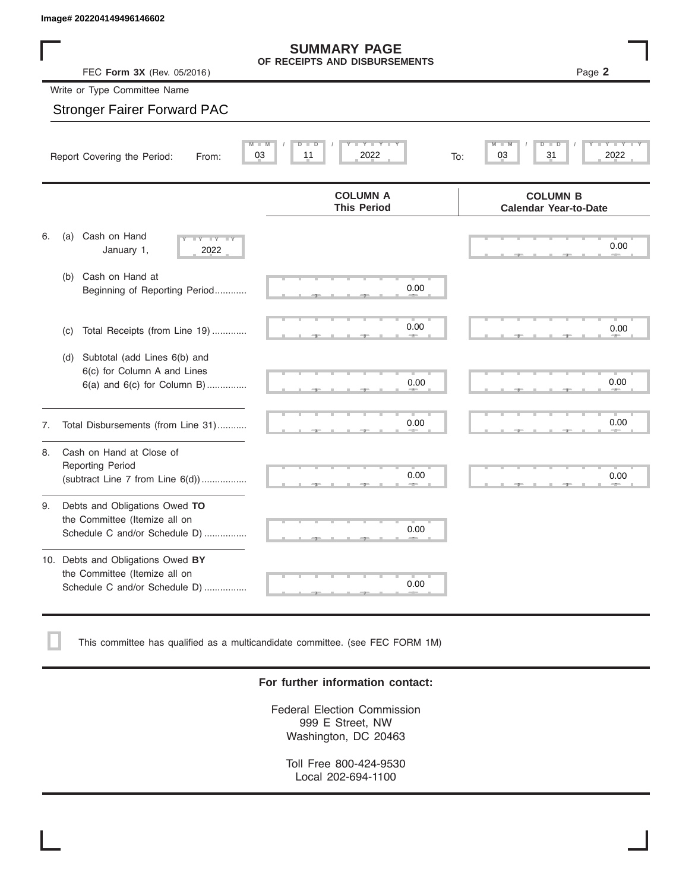|    |     | Image# 202204149496146602                                                                       |                                                           |                                                         |
|----|-----|-------------------------------------------------------------------------------------------------|-----------------------------------------------------------|---------------------------------------------------------|
|    |     | FEC Form 3X (Rev. 05/2016)                                                                      | <b>SUMMARY PAGE</b><br>OF RECEIPTS AND DISBURSEMENTS      | Page 2                                                  |
|    |     | Write or Type Committee Name                                                                    |                                                           |                                                         |
|    |     | <b>Stronger Fairer Forward PAC</b>                                                              |                                                           |                                                         |
|    |     | Report Covering the Period:<br>From:                                                            | <b>LEY LEY</b><br>D<br>$\overline{D}$<br>03<br>11<br>2022 | $\overline{\mathsf{M}}$<br>D<br>31<br>2022<br>03<br>To: |
|    |     |                                                                                                 | <b>COLUMN A</b><br><b>This Period</b>                     | <b>COLUMN B</b><br><b>Calendar Year-to-Date</b>         |
| 6. | (a) | Cash on Hand<br>$\overline{\mathbf{Y}}$<br>January 1,<br>2022                                   |                                                           | 0.00                                                    |
|    | (b) | Cash on Hand at<br>Beginning of Reporting Period                                                | 0.00                                                      |                                                         |
|    | (c) | Total Receipts (from Line 19)                                                                   | 0.00                                                      | 0.00                                                    |
|    | (d) | Subtotal (add Lines 6(b) and<br>6(c) for Column A and Lines<br>$6(a)$ and $6(c)$ for Column B)  | 0.00                                                      | 0.00                                                    |
| 7. |     | Total Disbursements (from Line 31)                                                              | 0.00                                                      | 0.00                                                    |
| 8. |     | Cash on Hand at Close of<br><b>Reporting Period</b><br>(subtract Line $7$ from Line $6(d)$ )    | 0.00                                                      | 0.00                                                    |
| 9. |     | Debts and Obligations Owed TO<br>the Committee (Itemize all on<br>Schedule C and/or Schedule D) | 0.00                                                      |                                                         |

10. Debts and Obligations Owed **BY** the Committee (Itemize all on Schedule C and/or Schedule D) ................

This committee has qualified as a multicandidate committee. (see FEC FORM 1M)

#### **For further information contact:**

 ▲ ▲ ▲ , , .

0.00

Federal Election Commission 999 E Street, NW Washington, DC 20463

Toll Free 800-424-9530 Local 202-694-1100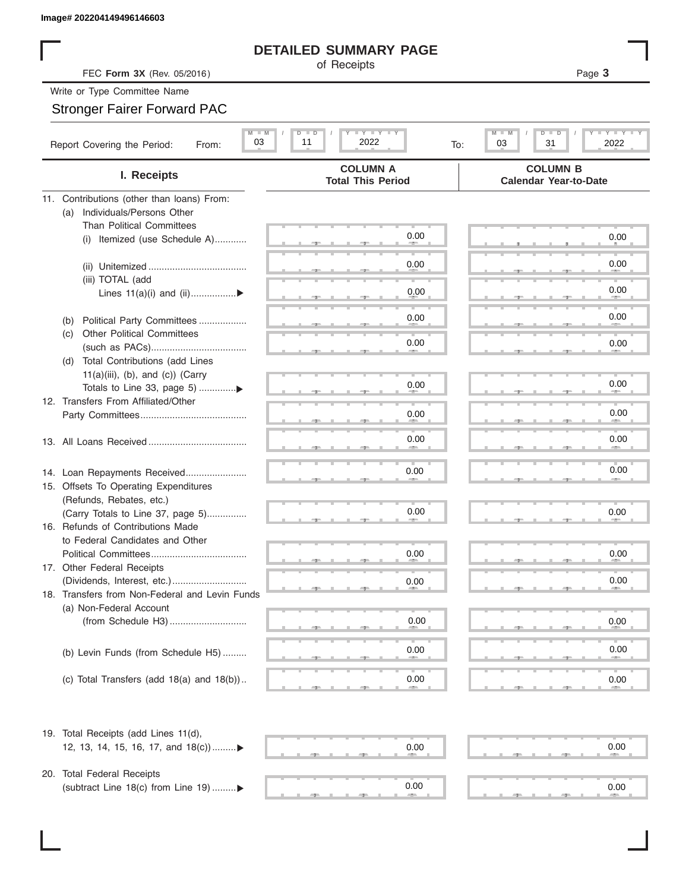#### **DETAILED SUMMARY PAGE**

## Stronger Fairer Forward PAC

| Image# 202204149496146603                                             |                                                                            |                                                      |
|-----------------------------------------------------------------------|----------------------------------------------------------------------------|------------------------------------------------------|
|                                                                       | <b>DETAILED SUMMARY PAGE</b>                                               |                                                      |
| FEC Form 3X (Rev. 05/2016)                                            | of Receipts                                                                | Page 3                                               |
| Write or Type Committee Name                                          |                                                                            |                                                      |
| <b>Stronger Fairer Forward PAC</b>                                    |                                                                            |                                                      |
|                                                                       |                                                                            |                                                      |
| $M$ $M$<br>03<br>Report Covering the Period:<br>From:                 | $\Box$ $\Upsilon$ $\Box$ $\Upsilon$ $\Upsilon$<br>D I<br>2022<br>11<br>To: | <b>LEY LEY LE</b><br>M<br>D<br>ъ<br>03<br>31<br>2022 |
| I. Receipts                                                           | <b>COLUMN A</b><br><b>Total This Period</b>                                | <b>COLUMN B</b><br><b>Calendar Year-to-Date</b>      |
| 11. Contributions (other than loans) From:                            |                                                                            |                                                      |
| Individuals/Persons Other<br>(a)                                      |                                                                            |                                                      |
| <b>Than Political Committees</b>                                      | 0.00                                                                       | 0.00                                                 |
| Itemized (use Schedule A)<br>(i)                                      |                                                                            |                                                      |
|                                                                       | 0.00                                                                       | 0.00                                                 |
| (iii) TOTAL (add                                                      |                                                                            |                                                      |
| Lines $11(a)(i)$ and $(ii)$                                           | 0.00                                                                       | 0.00                                                 |
|                                                                       |                                                                            |                                                      |
| Political Party Committees<br>(b)                                     | 0.00                                                                       | 0.00                                                 |
| Other Political Committees<br>(C)                                     | 0.00                                                                       | 0.00                                                 |
| Total Contributions (add Lines<br>(d)                                 |                                                                            |                                                      |
| $11(a)(iii)$ , (b), and (c)) (Carry                                   |                                                                            |                                                      |
| Totals to Line 33, page 5) ▶                                          | 0.00                                                                       | 0.00                                                 |
| 12. Transfers From Affiliated/Other                                   |                                                                            |                                                      |
|                                                                       | 0.00                                                                       | 0.00                                                 |
|                                                                       | 0.00                                                                       | 0.00                                                 |
|                                                                       |                                                                            |                                                      |
|                                                                       | 0.00                                                                       | 0.00                                                 |
| 14. Loan Repayments Received<br>15. Offsets To Operating Expenditures |                                                                            |                                                      |
| (Refunds, Rebates, etc.)                                              |                                                                            |                                                      |
| (Carry Totals to Line 37, page 5)                                     | 0.00                                                                       | 0.00                                                 |
| 16. Refunds of Contributions Made                                     |                                                                            |                                                      |
| to Federal Candidates and Other                                       |                                                                            |                                                      |
| Political Committees                                                  | 0.00                                                                       | 0.00                                                 |
| 17. Other Federal Receipts                                            |                                                                            |                                                      |
| 18. Transfers from Non-Federal and Levin Funds                        | 0.00                                                                       | 0.00                                                 |
| (a) Non-Federal Account                                               |                                                                            |                                                      |
|                                                                       | 0.00                                                                       | 0.00                                                 |
|                                                                       |                                                                            |                                                      |
| (b) Levin Funds (from Schedule H5)                                    | 0.00                                                                       | 0.00                                                 |
|                                                                       |                                                                            |                                                      |
| (c) Total Transfers (add $18(a)$ and $18(b)$ )                        | 0.00                                                                       | 0.00                                                 |
|                                                                       |                                                                            |                                                      |
| 19. Total Receipts (add Lines 11(d),                                  |                                                                            |                                                      |
| 12, 13, 14, 15, 16, 17, and 18(c))▶                                   | 0.00                                                                       | 0.00                                                 |
|                                                                       |                                                                            |                                                      |
| 20. Total Federal Receipts<br>(subtract Line 18(c) from Line 19) ▶    | 0.00                                                                       | 0.00                                                 |

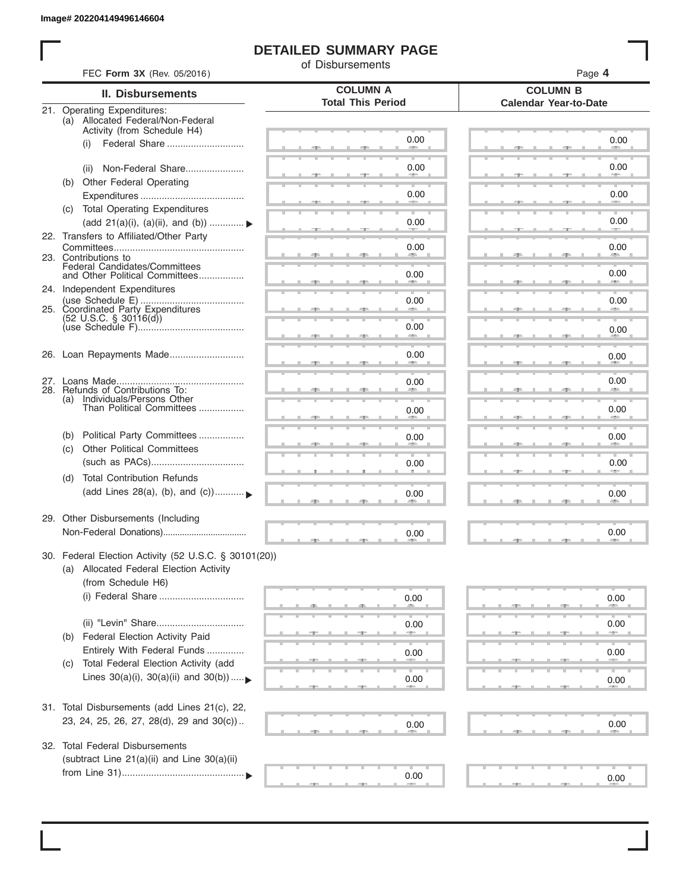I

## **DETAILED SUMMARY PAGE**

of Disbursements

| FEC Form 3X (Rev. 05/2016)                                                                                             |                                             | Page 4                                          |  |
|------------------------------------------------------------------------------------------------------------------------|---------------------------------------------|-------------------------------------------------|--|
| II. Disbursements                                                                                                      | <b>COLUMN A</b><br><b>Total This Period</b> | <b>COLUMN B</b><br><b>Calendar Year-to-Date</b> |  |
| 21. Operating Expenditures:<br>(a) Allocated Federal/Non-Federal<br>Activity (from Schedule H4)                        |                                             |                                                 |  |
| (i)                                                                                                                    | 0.00                                        | 0.00                                            |  |
| Non-Federal Share<br>(ii)<br>(b) Other Federal Operating                                                               | 0.00                                        | 0.00                                            |  |
|                                                                                                                        | 0.00                                        | 0.00                                            |  |
| (c) Total Operating Expenditures<br>(add 21(a)(i), (a)(ii), and (b))  ▶                                                | 0.00                                        | 0.00                                            |  |
| 22. Transfers to Affiliated/Other Party                                                                                | 0.00                                        | 0.00                                            |  |
| 23. Contributions to<br>Federal Candidates/Committees<br>and Other Political Committees                                | 0.00                                        | 0.00                                            |  |
| 24. Independent Expenditures<br>25. Coordinated Party Expenditures                                                     | 0.00                                        | 0.00                                            |  |
| $(52 \text{ U.S.C. }$ § 30116(d))                                                                                      | 0.00<br>an a                                | 0.00                                            |  |
| 26. Loan Repayments Made                                                                                               | 0.00                                        | 0.00                                            |  |
| 28. Refunds of Contributions To:                                                                                       | 0.00                                        | 0.00                                            |  |
| (a) Individuals/Persons Other<br>Than Political Committees                                                             | 0.00                                        | 0.00                                            |  |
| Political Party Committees<br>(b)                                                                                      | 0.00                                        | 0.00                                            |  |
| <b>Other Political Committees</b><br>(c)                                                                               | 0.00                                        | 0.00                                            |  |
| <b>Total Contribution Refunds</b><br>(d)<br>(add Lines 28(a), (b), and (c))                                            | 0.00                                        | 0.00                                            |  |
| 29. Other Disbursements (Including                                                                                     | 0.00                                        | 0.00                                            |  |
|                                                                                                                        |                                             |                                                 |  |
| 30. Federal Election Activity (52 U.S.C. § 30101(20))<br>(a) Allocated Federal Election Activity<br>(from Schedule H6) |                                             |                                                 |  |
|                                                                                                                        | 0.00                                        | 0.00                                            |  |
| (ii) "Levin" Share<br>Federal Election Activity Paid<br>(b)                                                            | 0.00                                        | 0.00                                            |  |
| Entirely With Federal Funds<br>Total Federal Election Activity (add                                                    | 0.00                                        | 0.00                                            |  |
| (C)<br>Lines $30(a)(i)$ , $30(a)(ii)$ and $30(b))$                                                                     | 0.00                                        | 0.00                                            |  |
| 31. Total Disbursements (add Lines 21(c), 22,                                                                          |                                             |                                                 |  |
| 23, 24, 25, 26, 27, 28(d), 29 and 30(c))                                                                               | 0.00                                        | 0.00                                            |  |
| 32. Total Federal Disbursements<br>(subtract Line 21(a)(ii) and Line 30(a)(ii)                                         |                                             |                                                 |  |
|                                                                                                                        | 0.00                                        | 0.00                                            |  |
|                                                                                                                        |                                             |                                                 |  |